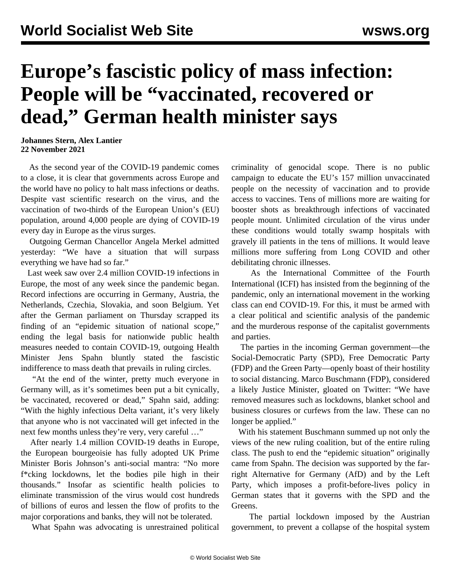## **Europe's fascistic policy of mass infection: People will be "vaccinated, recovered or dead," German health minister says**

**Johannes Stern, Alex Lantier 22 November 2021**

 As the second year of the COVID-19 pandemic comes to a close, it is clear that governments across Europe and the world have no policy to halt mass infections or deaths. Despite vast scientific research on the virus, and the vaccination of two-thirds of the European Union's (EU) population, around 4,000 people are dying of COVID-19 every day in Europe as the virus surges.

 Outgoing German Chancellor Angela Merkel admitted yesterday: "We have a situation that will surpass everything we have had so far."

 Last week saw over 2.4 million COVID-19 infections in Europe, the most of any week since the pandemic began. Record infections are occurring in Germany, Austria, the Netherlands, Czechia, Slovakia, and soon Belgium. Yet after the German parliament on Thursday scrapped its finding of an "epidemic situation of national scope," ending the legal basis for nationwide public health measures needed to contain COVID-19, outgoing Health Minister Jens Spahn bluntly stated the fascistic indifference to mass death that prevails in ruling circles.

 "At the end of the winter, pretty much everyone in Germany will, as it's sometimes been put a bit cynically, be vaccinated, recovered or dead," Spahn said, adding: "With the highly infectious Delta variant, it's very likely that anyone who is not vaccinated will get infected in the next few months unless they're very, very careful …"

 After nearly 1.4 million COVID-19 deaths in Europe, the European bourgeoisie has fully adopted UK Prime Minister Boris Johnson's anti-social mantra: "No more f\*cking lockdowns, let the bodies pile high in their thousands." Insofar as scientific health policies to eliminate transmission of the virus would cost hundreds of billions of euros and lessen the flow of profits to the major corporations and banks, they will not be tolerated.

What Spahn was advocating is unrestrained political

criminality of genocidal scope. There is no public campaign to educate the EU's 157 million unvaccinated people on the necessity of vaccination and to provide access to vaccines. Tens of millions more are waiting for booster shots as breakthrough infections of vaccinated people mount. Unlimited circulation of the virus under these conditions would totally swamp hospitals with gravely ill patients in the tens of millions. It would leave millions more suffering from Long COVID and other debilitating chronic illnesses.

 As the International Committee of the Fourth International (ICFI) has insisted from the beginning of the pandemic, only an international movement in the working class can end COVID-19. For this, it must be armed with a clear political and scientific analysis of the pandemic and the murderous response of the capitalist governments and parties.

 The parties in the incoming German government—the Social-Democratic Party (SPD), Free Democratic Party (FDP) and the Green Party—openly boast of their hostility to social distancing. Marco Buschmann (FDP), considered a likely Justice Minister, gloated on Twitter: "We have removed measures such as lockdowns, blanket school and business closures or curfews from the law. These can no longer be applied."

 With his statement Buschmann summed up not only the views of the new ruling coalition, but of the entire ruling class. The push to end the "epidemic situation" originally came from Spahn. The decision was supported by the farright Alternative for Germany (AfD) and by the Left Party, which imposes a profit-before-lives policy in German states that it governs with the SPD and the **Greens**.

 The partial lockdown imposed by the Austrian government, to prevent a collapse of the hospital system